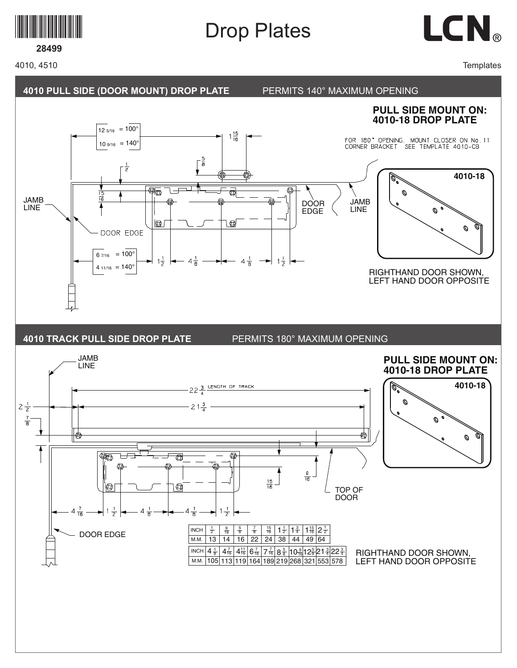

# Drop Plates



## **28499**

4010, 4510

**Templates** 

**4010-18**

 $\mathcal O$ 

Ø

**4010-18**

Ø

Ø

#### **4010 PULL SIDE (DOOR MOUNT) DROP PLATE** PERMITS 140° MAXIMUM OPENING **PULL SIDE MOUNT ON: 4010-18 DROP PLATE**  $12 \frac{5}{16}$  = 100<sup>°</sup>  $1\frac{15}{16}$ FOR 180<sup>\*</sup> OPENING, MOUNT CLOSER ON No. 11<br>CORNER BRACKET SEE TEMPLATE 4010-CB.  $10\frac{9}{16} = 140^{\circ}$  $\lceil \frac{5}{8} \rceil$  $\frac{1}{z}$ Q°  $\frac{1}{\sqrt{2}}$  $\overline{\mathbb{Q}}$ Ø  $rac{1}{16}$ JAMB JAMB DOOR LINE LINE EDGE  $\Box$ ١ø DOOR EDGE  $67/16 = 100^{\circ}$  $1\frac{1}{2}$  $4\frac{1}{8}$  $\rightarrow$   $1\frac{1}{2}$  $4\frac{1}{9}$  $4_{11/16} = 140^{\circ}$ RIGHTHAND DOOR SHOWN, LEFT HAND DOOR OPPOSITE **4010 TRACK PULL SIDE DROP PLATE** PERMITS 180° MAXIMUM OPENING JAMB **PULL SIDE MOUNT ON:** LINE**4010-18 DROP PLATE**  $-22\frac{3}{4}$  LENGTH OF TRACK ă  $\mathcal{O}$  $2\frac{1}{2}$  $21\frac{3}{4}$  $rac{7}{8}$ € ∉  $\overline{\mathbb{R}}$ ⋐ ŒΤ đ  $\frac{9}{16}$  $\frac{15}{16}$ Ø q TOP OF DOOR  $4\frac{7}{16}$  $1\frac{1}{2}$  $4\frac{1}{8}$  $1\frac{1}{2}$  $\Delta$  $\frac{15}{16}$ INCH  $\frac{1}{2}$  $rac{1}{2}$   $rac{9}{16}$   $rac{5}{8}$  $\frac{5}{8}$   $\frac{7}{8}$   $\frac{15}{16}$   $\frac{11}{2}$   $\frac{13}{4}$   $\frac{3}{16}$   $\frac{15}{2}$   $\frac{21}{2}$ 7 8 DOOR EDGE M.M. 13 14 16 22 24 38 44 49 64 INCH  $\frac{1}{8}$  $\frac{1}{8}\Big|\,4\frac{7}{16}\Big|\,4\frac{11}{16}\Big|\,6\frac{7}{16}\Big|\,7\frac{7}{16}\Big|\,8\frac{5}{8}\Big|10\frac{9}{16}\Big|12\frac{5}{8}\Big|21\frac{3}{4}\Big|22\frac{3}{4}$ RIGHTHAND DOOR SHOWN, LEFT HAND DOOR OPPOSITE м.м. |105|113|119|164|189|219|268|321|553|578